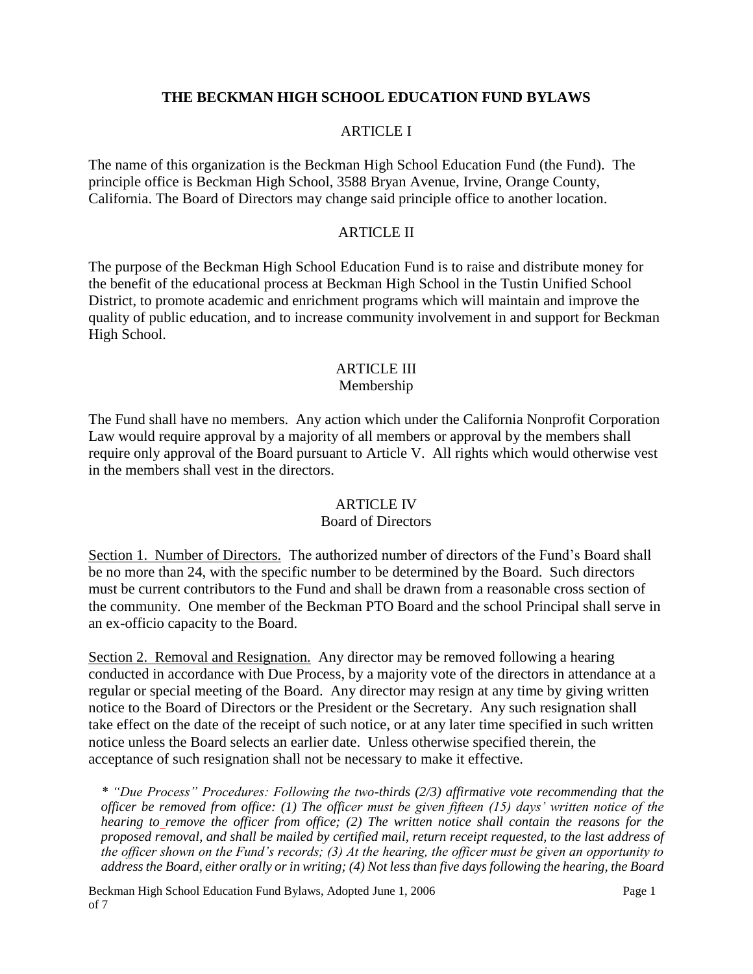## **THE BECKMAN HIGH SCHOOL EDUCATION FUND BYLAWS**

#### ARTICLE I

The name of this organization is the Beckman High School Education Fund (the Fund). The principle office is Beckman High School, 3588 Bryan Avenue, Irvine, Orange County, California. The Board of Directors may change said principle office to another location.

#### ARTICLE II

The purpose of the Beckman High School Education Fund is to raise and distribute money for the benefit of the educational process at Beckman High School in the Tustin Unified School District, to promote academic and enrichment programs which will maintain and improve the quality of public education, and to increase community involvement in and support for Beckman High School.

# ARTICLE III

# Membership

The Fund shall have no members. Any action which under the California Nonprofit Corporation Law would require approval by a majority of all members or approval by the members shall require only approval of the Board pursuant to Article V. All rights which would otherwise vest in the members shall vest in the directors.

#### ARTICLE IV

#### Board of Directors

Section 1. Number of Directors. The authorized number of directors of the Fund's Board shall be no more than 24, with the specific number to be determined by the Board. Such directors must be current contributors to the Fund and shall be drawn from a reasonable cross section of the community. One member of the Beckman PTO Board and the school Principal shall serve in an ex-officio capacity to the Board.

Section 2. Removal and Resignation. Any director may be removed following a hearing conducted in accordance with Due Process, by a majority vote of the directors in attendance at a regular or special meeting of the Board. Any director may resign at any time by giving written notice to the Board of Directors or the President or the Secretary. Any such resignation shall take effect on the date of the receipt of such notice, or at any later time specified in such written notice unless the Board selects an earlier date. Unless otherwise specified therein, the acceptance of such resignation shall not be necessary to make it effective.

*\* "Due Process" Procedures: Following the two-thirds (2/3) affirmative vote recommending that the officer be removed from office: (1) The officer must be given fifteen (15) days' written notice of the hearing to remove the officer from office; (2) The written notice shall contain the reasons for the proposed removal, and shall be mailed by certified mail, return receipt requested, to the last address of the officer shown on the Fund's records; (3) At the hearing, the officer must be given an opportunity to address the Board, either orally or in writing; (4) Not less than five days following the hearing, the Board* 

Beckman High School Education Fund Bylaws, Adopted June 1, 2006 Page 1 of 7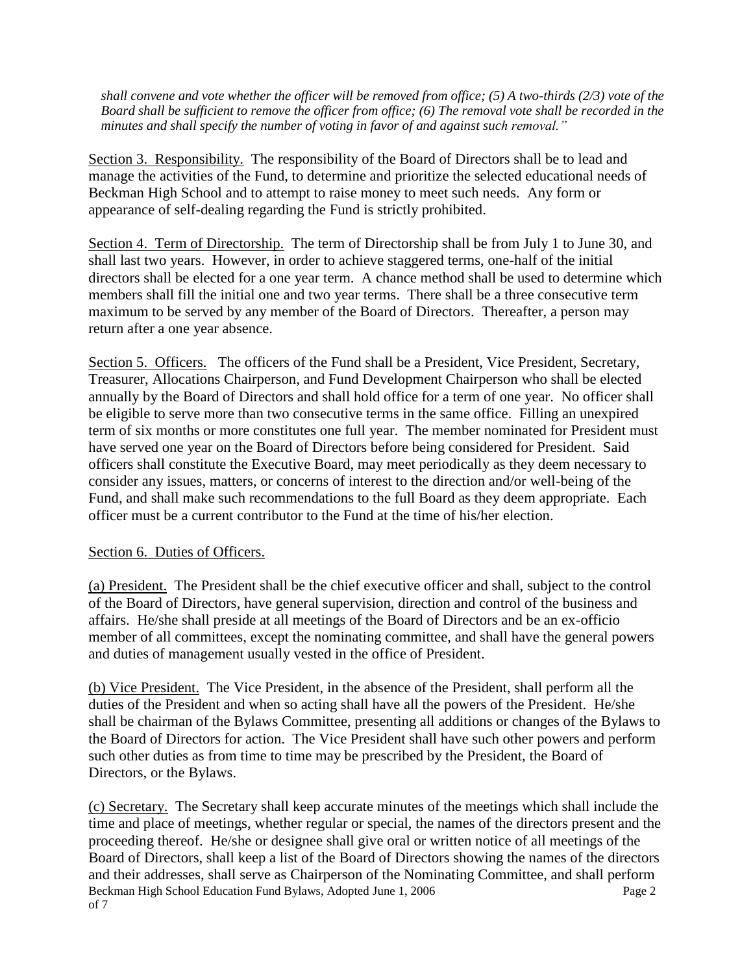*shall convene and vote whether the officer will be removed from office; (5) A two-thirds (2/3) vote of the Board shall be sufficient to remove the officer from office; (6) The removal vote shall be recorded in the minutes and shall specify the number of voting in favor of and against such removal."*

Section 3. Responsibility. The responsibility of the Board of Directors shall be to lead and manage the activities of the Fund, to determine and prioritize the selected educational needs of Beckman High School and to attempt to raise money to meet such needs. Any form or appearance of self-dealing regarding the Fund is strictly prohibited.

Section 4. Term of Directorship. The term of Directorship shall be from July 1 to June 30, and shall last two years. However, in order to achieve staggered terms, one-half of the initial directors shall be elected for a one year term. A chance method shall be used to determine which members shall fill the initial one and two year terms. There shall be a three consecutive term maximum to be served by any member of the Board of Directors. Thereafter, a person may return after a one year absence.

Section 5. Officers. The officers of the Fund shall be a President, Vice President, Secretary, Treasurer, Allocations Chairperson, and Fund Development Chairperson who shall be elected annually by the Board of Directors and shall hold office for a term of one year. No officer shall be eligible to serve more than two consecutive terms in the same office. Filling an unexpired term of six months or more constitutes one full year. The member nominated for President must have served one year on the Board of Directors before being considered for President. Said officers shall constitute the Executive Board, may meet periodically as they deem necessary to consider any issues, matters, or concerns of interest to the direction and/or well-being of the Fund, and shall make such recommendations to the full Board as they deem appropriate. Each officer must be a current contributor to the Fund at the time of his/her election.

## Section 6. Duties of Officers.

(a) President. The President shall be the chief executive officer and shall, subject to the control of the Board of Directors, have general supervision, direction and control of the business and affairs. He/she shall preside at all meetings of the Board of Directors and be an ex-officio member of all committees, except the nominating committee, and shall have the general powers and duties of management usually vested in the office of President.

(b) Vice President. The Vice President, in the absence of the President, shall perform all the duties of the President and when so acting shall have all the powers of the President. He/she shall be chairman of the Bylaws Committee, presenting all additions or changes of the Bylaws to the Board of Directors for action. The Vice President shall have such other powers and perform such other duties as from time to time may be prescribed by the President, the Board of Directors, or the Bylaws.

Beckman High School Education Fund Bylaws, Adopted June 1, 2006 Page 2 of 7 (c) Secretary. The Secretary shall keep accurate minutes of the meetings which shall include the time and place of meetings, whether regular or special, the names of the directors present and the proceeding thereof. He/she or designee shall give oral or written notice of all meetings of the Board of Directors, shall keep a list of the Board of Directors showing the names of the directors and their addresses, shall serve as Chairperson of the Nominating Committee, and shall perform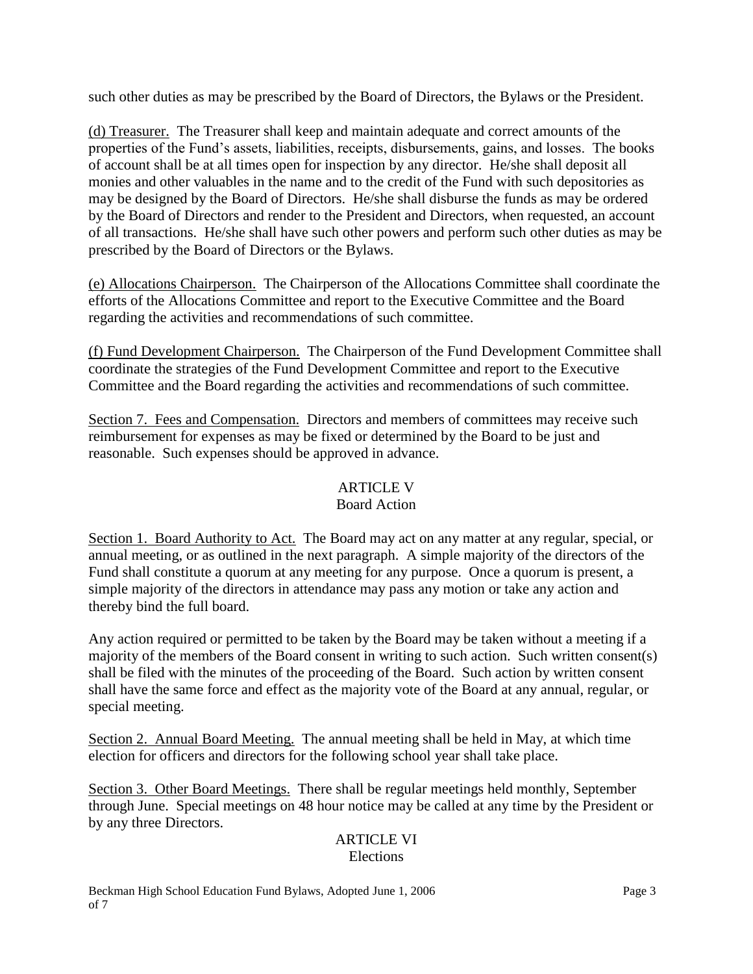such other duties as may be prescribed by the Board of Directors, the Bylaws or the President.

(d) Treasurer. The Treasurer shall keep and maintain adequate and correct amounts of the properties of the Fund's assets, liabilities, receipts, disbursements, gains, and losses. The books of account shall be at all times open for inspection by any director. He/she shall deposit all monies and other valuables in the name and to the credit of the Fund with such depositories as may be designed by the Board of Directors. He/she shall disburse the funds as may be ordered by the Board of Directors and render to the President and Directors, when requested, an account of all transactions. He/she shall have such other powers and perform such other duties as may be prescribed by the Board of Directors or the Bylaws.

(e) Allocations Chairperson. The Chairperson of the Allocations Committee shall coordinate the efforts of the Allocations Committee and report to the Executive Committee and the Board regarding the activities and recommendations of such committee.

(f) Fund Development Chairperson. The Chairperson of the Fund Development Committee shall coordinate the strategies of the Fund Development Committee and report to the Executive Committee and the Board regarding the activities and recommendations of such committee.

Section 7. Fees and Compensation. Directors and members of committees may receive such reimbursement for expenses as may be fixed or determined by the Board to be just and reasonable. Such expenses should be approved in advance.

# ARTICLE V

## Board Action

Section 1. Board Authority to Act. The Board may act on any matter at any regular, special, or annual meeting, or as outlined in the next paragraph. A simple majority of the directors of the Fund shall constitute a quorum at any meeting for any purpose. Once a quorum is present, a simple majority of the directors in attendance may pass any motion or take any action and thereby bind the full board.

Any action required or permitted to be taken by the Board may be taken without a meeting if a majority of the members of the Board consent in writing to such action. Such written consent(s) shall be filed with the minutes of the proceeding of the Board. Such action by written consent shall have the same force and effect as the majority vote of the Board at any annual, regular, or special meeting.

Section 2. Annual Board Meeting. The annual meeting shall be held in May, at which time election for officers and directors for the following school year shall take place.

Section 3. Other Board Meetings. There shall be regular meetings held monthly, September through June. Special meetings on 48 hour notice may be called at any time by the President or by any three Directors.

## ARTICLE VI Elections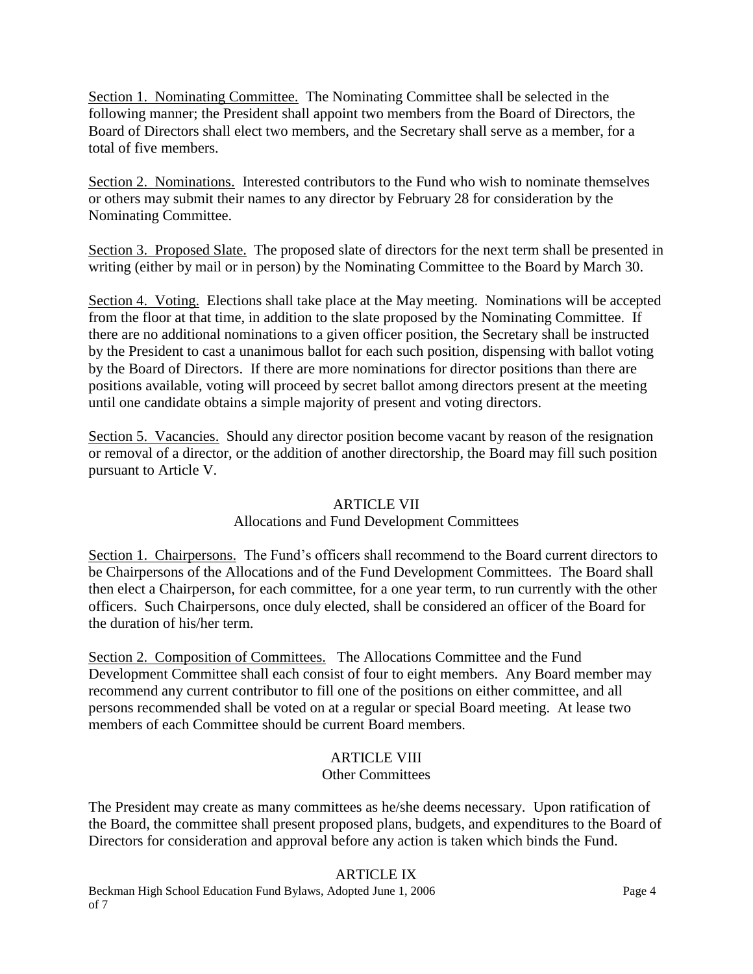Section 1. Nominating Committee. The Nominating Committee shall be selected in the following manner; the President shall appoint two members from the Board of Directors, the Board of Directors shall elect two members, and the Secretary shall serve as a member, for a total of five members.

Section 2. Nominations. Interested contributors to the Fund who wish to nominate themselves or others may submit their names to any director by February 28 for consideration by the Nominating Committee.

Section 3. Proposed Slate. The proposed slate of directors for the next term shall be presented in writing (either by mail or in person) by the Nominating Committee to the Board by March 30.

Section 4. Voting. Elections shall take place at the May meeting. Nominations will be accepted from the floor at that time, in addition to the slate proposed by the Nominating Committee. If there are no additional nominations to a given officer position, the Secretary shall be instructed by the President to cast a unanimous ballot for each such position, dispensing with ballot voting by the Board of Directors. If there are more nominations for director positions than there are positions available, voting will proceed by secret ballot among directors present at the meeting until one candidate obtains a simple majority of present and voting directors.

Section 5. Vacancies. Should any director position become vacant by reason of the resignation or removal of a director, or the addition of another directorship, the Board may fill such position pursuant to Article V.

## ARTICLE VII

## Allocations and Fund Development Committees

Section 1. Chairpersons. The Fund's officers shall recommend to the Board current directors to be Chairpersons of the Allocations and of the Fund Development Committees. The Board shall then elect a Chairperson, for each committee, for a one year term, to run currently with the other officers. Such Chairpersons, once duly elected, shall be considered an officer of the Board for the duration of his/her term.

Section 2. Composition of Committees. The Allocations Committee and the Fund Development Committee shall each consist of four to eight members. Any Board member may recommend any current contributor to fill one of the positions on either committee, and all persons recommended shall be voted on at a regular or special Board meeting. At lease two members of each Committee should be current Board members.

# ARTICLE VIII

## Other Committees

The President may create as many committees as he/she deems necessary. Upon ratification of the Board, the committee shall present proposed plans, budgets, and expenditures to the Board of Directors for consideration and approval before any action is taken which binds the Fund.

## ARTICLE IX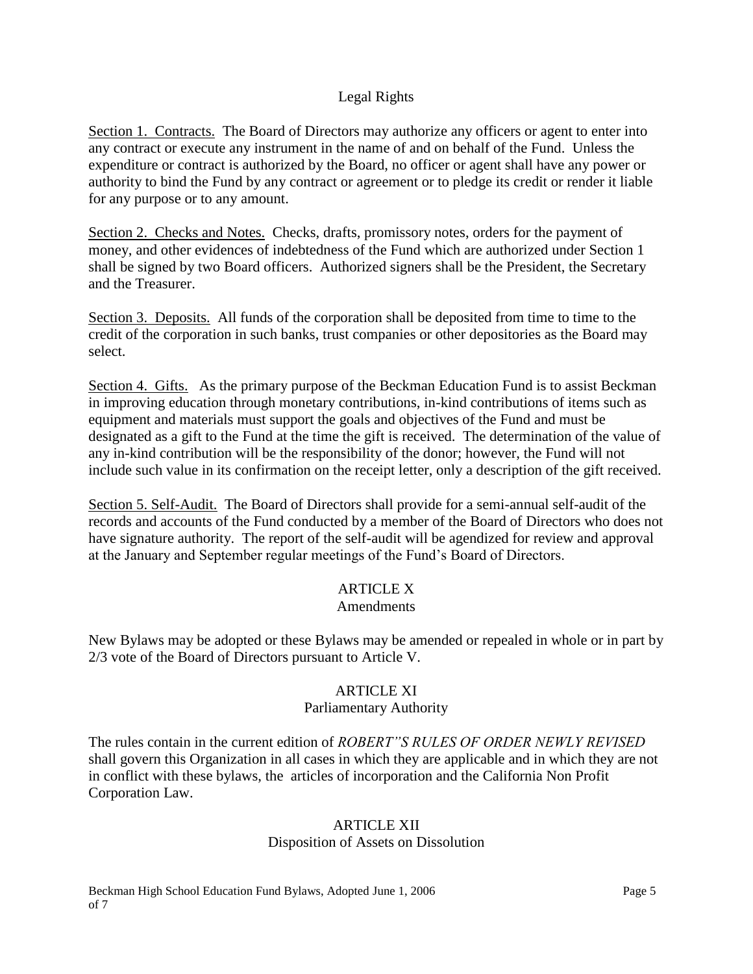#### Legal Rights

Section 1. Contracts. The Board of Directors may authorize any officers or agent to enter into any contract or execute any instrument in the name of and on behalf of the Fund. Unless the expenditure or contract is authorized by the Board, no officer or agent shall have any power or authority to bind the Fund by any contract or agreement or to pledge its credit or render it liable for any purpose or to any amount.

Section 2. Checks and Notes. Checks, drafts, promissory notes, orders for the payment of money, and other evidences of indebtedness of the Fund which are authorized under Section 1 shall be signed by two Board officers. Authorized signers shall be the President, the Secretary and the Treasurer.

Section 3. Deposits. All funds of the corporation shall be deposited from time to time to the credit of the corporation in such banks, trust companies or other depositories as the Board may select.

Section 4. Gifts. As the primary purpose of the Beckman Education Fund is to assist Beckman in improving education through monetary contributions, in-kind contributions of items such as equipment and materials must support the goals and objectives of the Fund and must be designated as a gift to the Fund at the time the gift is received. The determination of the value of any in-kind contribution will be the responsibility of the donor; however, the Fund will not include such value in its confirmation on the receipt letter, only a description of the gift received.

Section 5. Self-Audit. The Board of Directors shall provide for a semi-annual self-audit of the records and accounts of the Fund conducted by a member of the Board of Directors who does not have signature authority. The report of the self-audit will be agendized for review and approval at the January and September regular meetings of the Fund's Board of Directors.

# ARTICLE X

#### Amendments

New Bylaws may be adopted or these Bylaws may be amended or repealed in whole or in part by 2/3 vote of the Board of Directors pursuant to Article V.

#### ARTICLE XI

#### Parliamentary Authority

The rules contain in the current edition of *ROBERT"S RULES OF ORDER NEWLY REVISED* shall govern this Organization in all cases in which they are applicable and in which they are not in conflict with these bylaws, the articles of incorporation and the California Non Profit Corporation Law.

# ARTICLE XII

## Disposition of Assets on Dissolution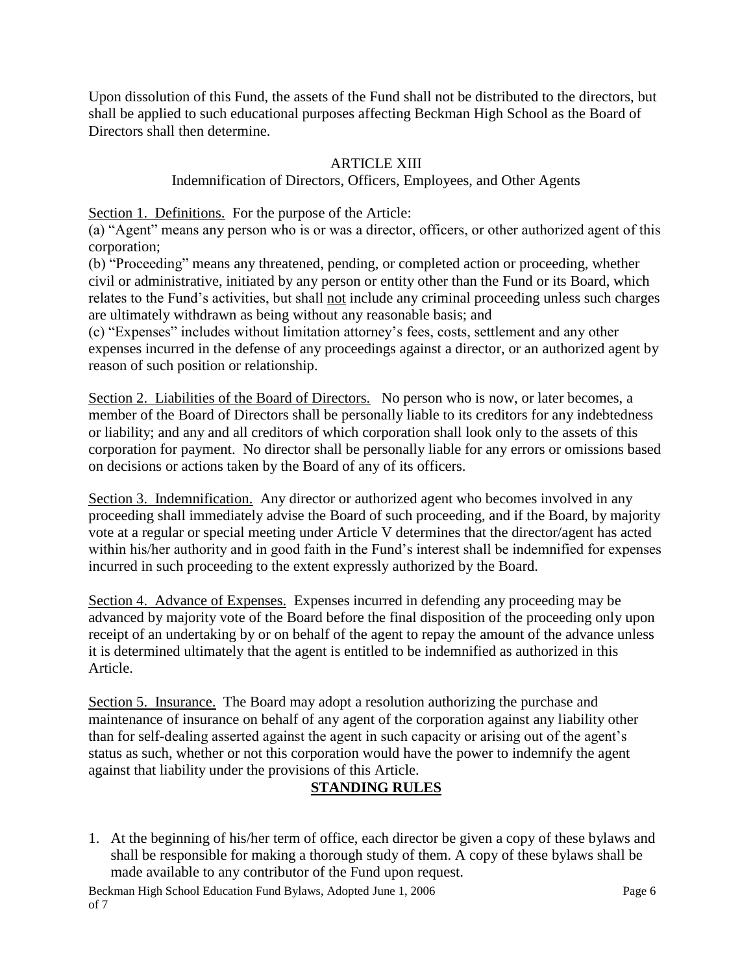Upon dissolution of this Fund, the assets of the Fund shall not be distributed to the directors, but shall be applied to such educational purposes affecting Beckman High School as the Board of Directors shall then determine.

# ARTICLE XIII

#### Indemnification of Directors, Officers, Employees, and Other Agents

Section 1. Definitions. For the purpose of the Article:

(a) "Agent" means any person who is or was a director, officers, or other authorized agent of this corporation;

(b) "Proceeding" means any threatened, pending, or completed action or proceeding, whether civil or administrative, initiated by any person or entity other than the Fund or its Board, which relates to the Fund's activities, but shall not include any criminal proceeding unless such charges are ultimately withdrawn as being without any reasonable basis; and

(c) "Expenses" includes without limitation attorney's fees, costs, settlement and any other expenses incurred in the defense of any proceedings against a director, or an authorized agent by reason of such position or relationship.

Section 2. Liabilities of the Board of Directors. No person who is now, or later becomes, a member of the Board of Directors shall be personally liable to its creditors for any indebtedness or liability; and any and all creditors of which corporation shall look only to the assets of this corporation for payment. No director shall be personally liable for any errors or omissions based on decisions or actions taken by the Board of any of its officers.

Section 3. Indemnification. Any director or authorized agent who becomes involved in any proceeding shall immediately advise the Board of such proceeding, and if the Board, by majority vote at a regular or special meeting under Article V determines that the director/agent has acted within his/her authority and in good faith in the Fund's interest shall be indemnified for expenses incurred in such proceeding to the extent expressly authorized by the Board.

Section 4. Advance of Expenses. Expenses incurred in defending any proceeding may be advanced by majority vote of the Board before the final disposition of the proceeding only upon receipt of an undertaking by or on behalf of the agent to repay the amount of the advance unless it is determined ultimately that the agent is entitled to be indemnified as authorized in this Article.

Section 5. Insurance. The Board may adopt a resolution authorizing the purchase and maintenance of insurance on behalf of any agent of the corporation against any liability other than for self-dealing asserted against the agent in such capacity or arising out of the agent's status as such, whether or not this corporation would have the power to indemnify the agent against that liability under the provisions of this Article.

## **STANDING RULES**

1. At the beginning of his/her term of office, each director be given a copy of these bylaws and shall be responsible for making a thorough study of them. A copy of these bylaws shall be made available to any contributor of the Fund upon request.